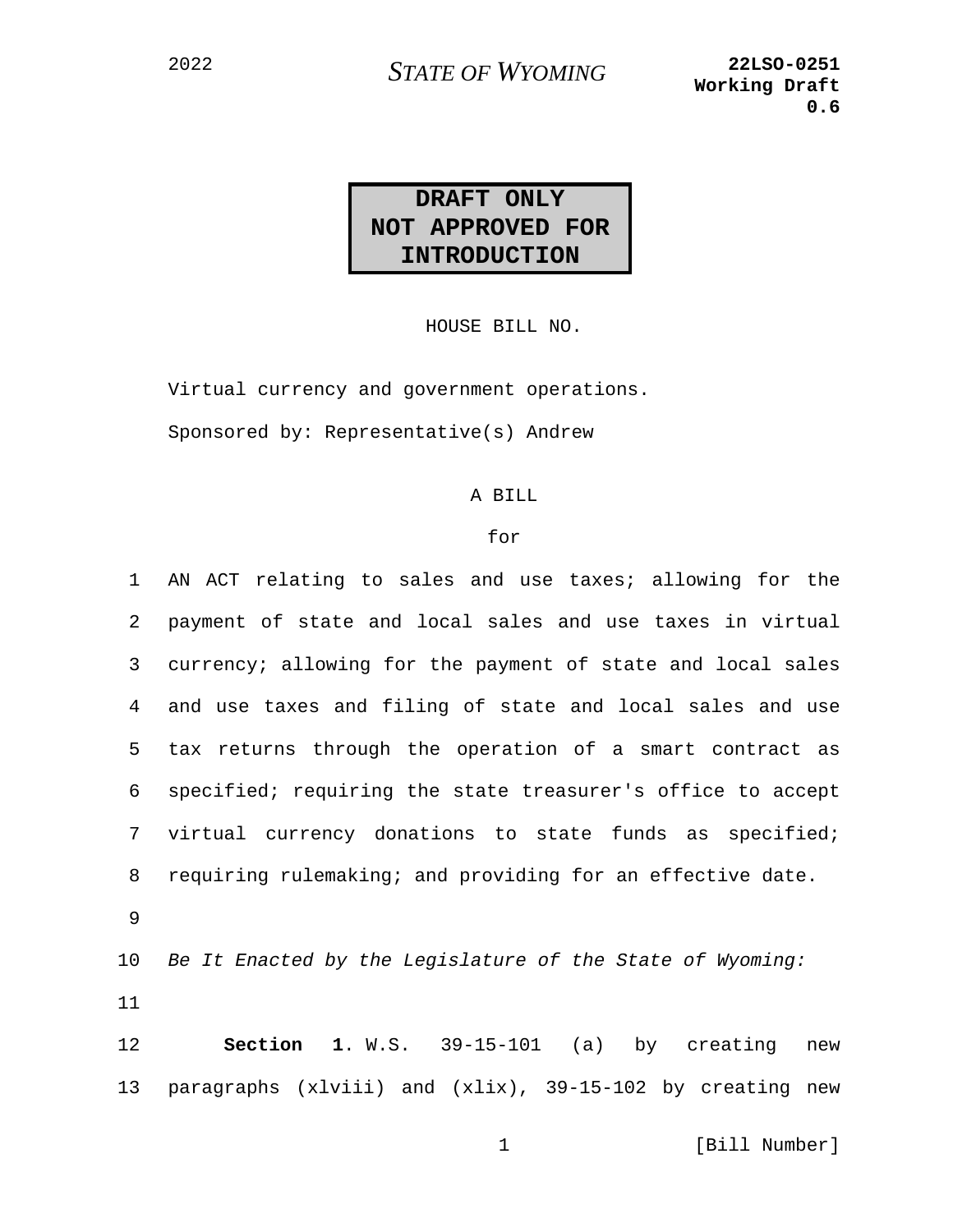## <sup>2022</sup> *STATE OF WYOMING* **22LSO-0251**

## **DRAFT ONLY NOT APPROVED FOR INTRODUCTION**

HOUSE BILL NO.

Virtual currency and government operations. Sponsored by: Representative(s) Andrew

## A BILL

## for

1 AN ACT relating to sales and use taxes; allowing for the 2 payment of state and local sales and use taxes in virtual 3 currency; allowing for the payment of state and local sales 4 and use taxes and filing of state and local sales and use 5 tax returns through the operation of a smart contract as 6 specified; requiring the state treasurer's office to accept 7 virtual currency donations to state funds as specified; 8 requiring rulemaking; and providing for an effective date. 9 10 *Be It Enacted by the Legislature of the State of Wyoming:* 11 12 **Section 1**. W.S. 39-15-101 (a) by creating new 13 paragraphs (xlviii) and (xlix), 39-15-102 by creating new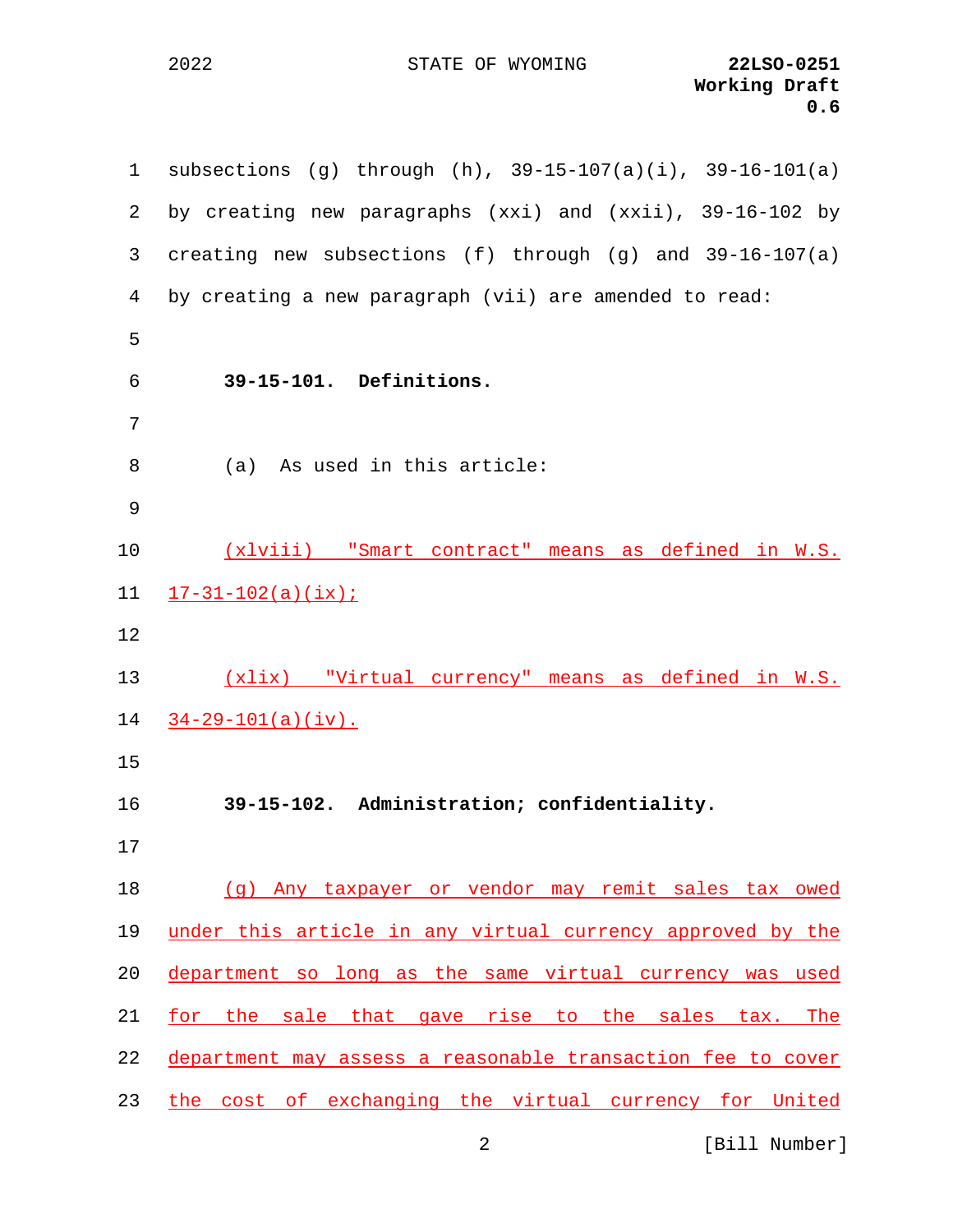STATE OF WYOMING **22LSO-0251**

| $\mathbf{1}$ | subsections (g) through (h), $39-15-107(a)(i)$ , $39-16-101(a)$ |
|--------------|-----------------------------------------------------------------|
| 2            | by creating new paragraphs $(xxi)$ and $(xxii)$ , 39-16-102 by  |
| 3            | creating new subsections (f) through (g) and $39-16-107(a)$     |
| 4            | by creating a new paragraph (vii) are amended to read:          |
| 5            |                                                                 |
| 6            | 39-15-101. Definitions.                                         |
| 7            |                                                                 |
| 8            | (a) As used in this article:                                    |
| 9            |                                                                 |
| 10           | (xlviii) "Smart contract" means as defined in W.S.              |
| 11           | $17-31-102(a)(ix);$                                             |
| 12           |                                                                 |
| 13           | (xlix) "Virtual currency" means as defined in W.S.              |
| 14           | $34-29-101(a)(iv)$ .                                            |
| 15           |                                                                 |
|              |                                                                 |
| 16           | 39-15-102. Administration; confidentiality.                     |
| 17           |                                                                 |
|              | (g) Any taxpayer or vendor may remit sales tax owed             |
| 18<br>19     | under this article in any virtual currency approved by the      |
| 20           | department so long as the same virtual currency was used        |
| 21           | for the sale that gave rise to the sales tax. The               |
| 22           | department may assess a reasonable transaction fee to cover     |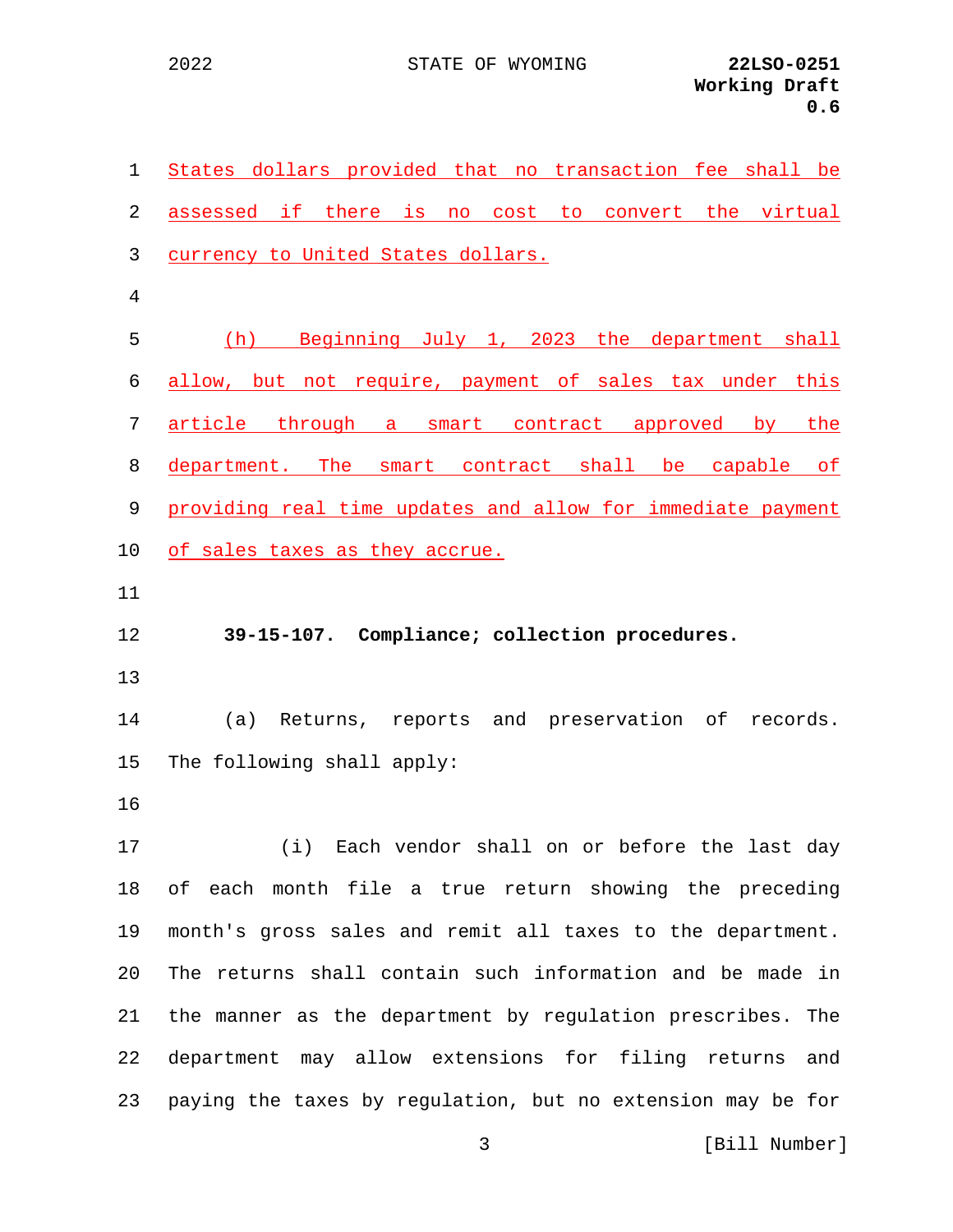| $\mathbf 1$ | States dollars provided that no transaction fee shall be    |
|-------------|-------------------------------------------------------------|
| 2           | assessed if there is no cost to convert the virtual         |
| 3           | currency to United States dollars.                          |
| 4           |                                                             |
| 5           | (h) Beginning July 1, 2023 the department shall             |
| 6           | allow, but not require, payment of sales tax under this     |
| 7           | article through a smart contract approved by the            |
| 8           | department. The smart contract shall be capable of          |
| 9           | providing real time updates and allow for immediate payment |
| 10          | of sales taxes as they accrue.                              |
| 11          |                                                             |
| 12          | 39-15-107. Compliance; collection procedures.               |
| 13          |                                                             |
| 14          | Returns, reports and preservation of records.<br>(a)        |
| 15          | The following shall apply:                                  |
| 16          |                                                             |
| 17          | Each vendor shall on or before the last day<br>(i)          |
| 18          | of each month file a true return showing the preceding      |
| 19          | month's gross sales and remit all taxes to the department.  |
| 20          | The returns shall contain such information and be made in   |
| 21          | the manner as the department by regulation prescribes. The  |
| 22          | department may allow extensions for filing returns<br>and   |
| 23          | paying the taxes by regulation, but no extension may be for |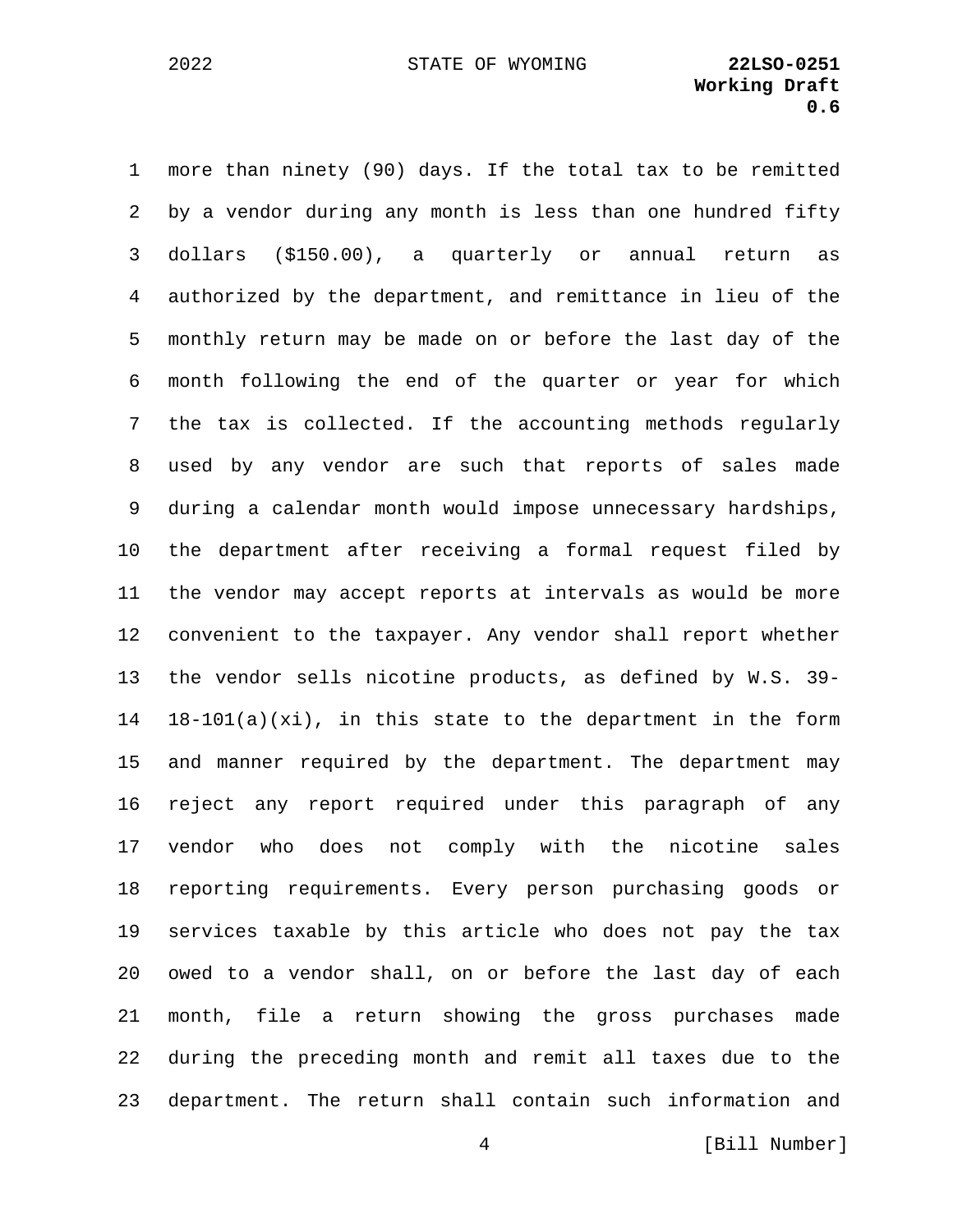1 more than ninety (90) days. If the total tax to be remitted 2 by a vendor during any month is less than one hundred fifty 3 dollars (\$150.00), a quarterly or annual return as 4 authorized by the department, and remittance in lieu of the 5 monthly return may be made on or before the last day of the 6 month following the end of the quarter or year for which 7 the tax is collected. If the accounting methods regularly 8 used by any vendor are such that reports of sales made 9 during a calendar month would impose unnecessary hardships, 10 the department after receiving a formal request filed by 11 the vendor may accept reports at intervals as would be more 12 convenient to the taxpayer. Any vendor shall report whether 13 the vendor sells nicotine products, as defined by W.S. 39- 14 18-101(a)(xi), in this state to the department in the form 15 and manner required by the department. The department may 16 reject any report required under this paragraph of any 17 vendor who does not comply with the nicotine sales 18 reporting requirements. Every person purchasing goods or 19 services taxable by this article who does not pay the tax 20 owed to a vendor shall, on or before the last day of each 21 month, file a return showing the gross purchases made 22 during the preceding month and remit all taxes due to the 23 department. The return shall contain such information and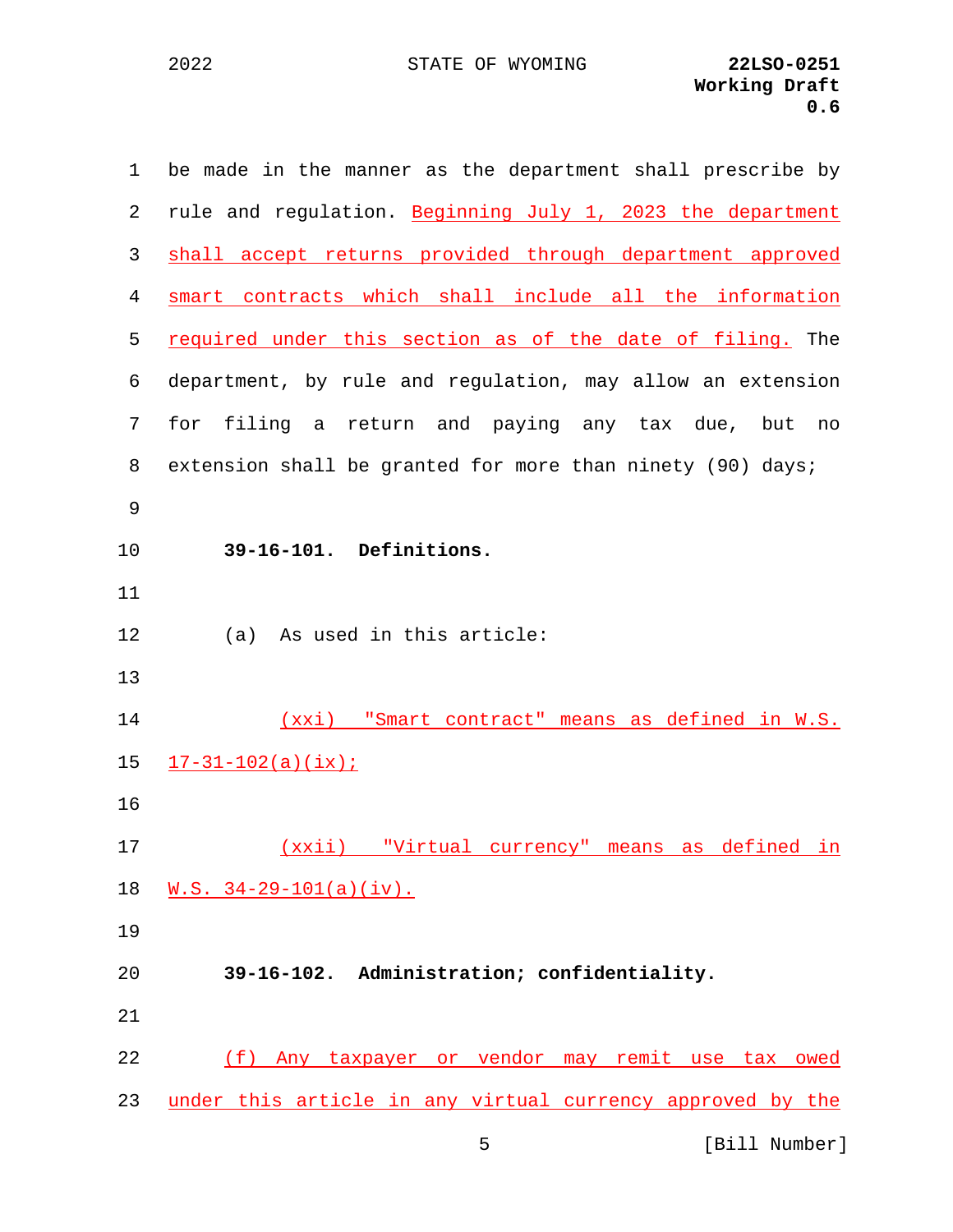| 1  | be made in the manner as the department shall prescribe by |
|----|------------------------------------------------------------|
| 2  | rule and regulation. Beginning July 1, 2023 the department |
| 3  | shall accept returns provided through department approved  |
| 4  | smart contracts which shall include all the information    |
| 5  | required under this section as of the date of filing. The  |
| 6  | department, by rule and regulation, may allow an extension |
| 7  | filing a return and paying any tax due,<br>for<br>but no   |
| 8  | extension shall be granted for more than ninety (90) days; |
| 9  |                                                            |
| 10 | 39-16-101. Definitions.                                    |
| 11 |                                                            |
| 12 | As used in this article:<br>(a)                            |
| 13 |                                                            |
| 14 | (xxi) "Smart contract" means as defined in W.S.            |
| 15 | $17-31-102(a)(ix);$                                        |
| 16 |                                                            |
| 17 | "Virtual currency" means as defined in<br><u>(xxii)</u>    |
| 18 | $W.S. 34-29-101(a)(iv).$                                   |
| 19 |                                                            |
| 20 | 39-16-102. Administration; confidentiality.                |
| 21 |                                                            |
| 22 | (f) Any taxpayer or vendor may remit use tax owed          |
| 23 | under this article in any virtual currency approved by the |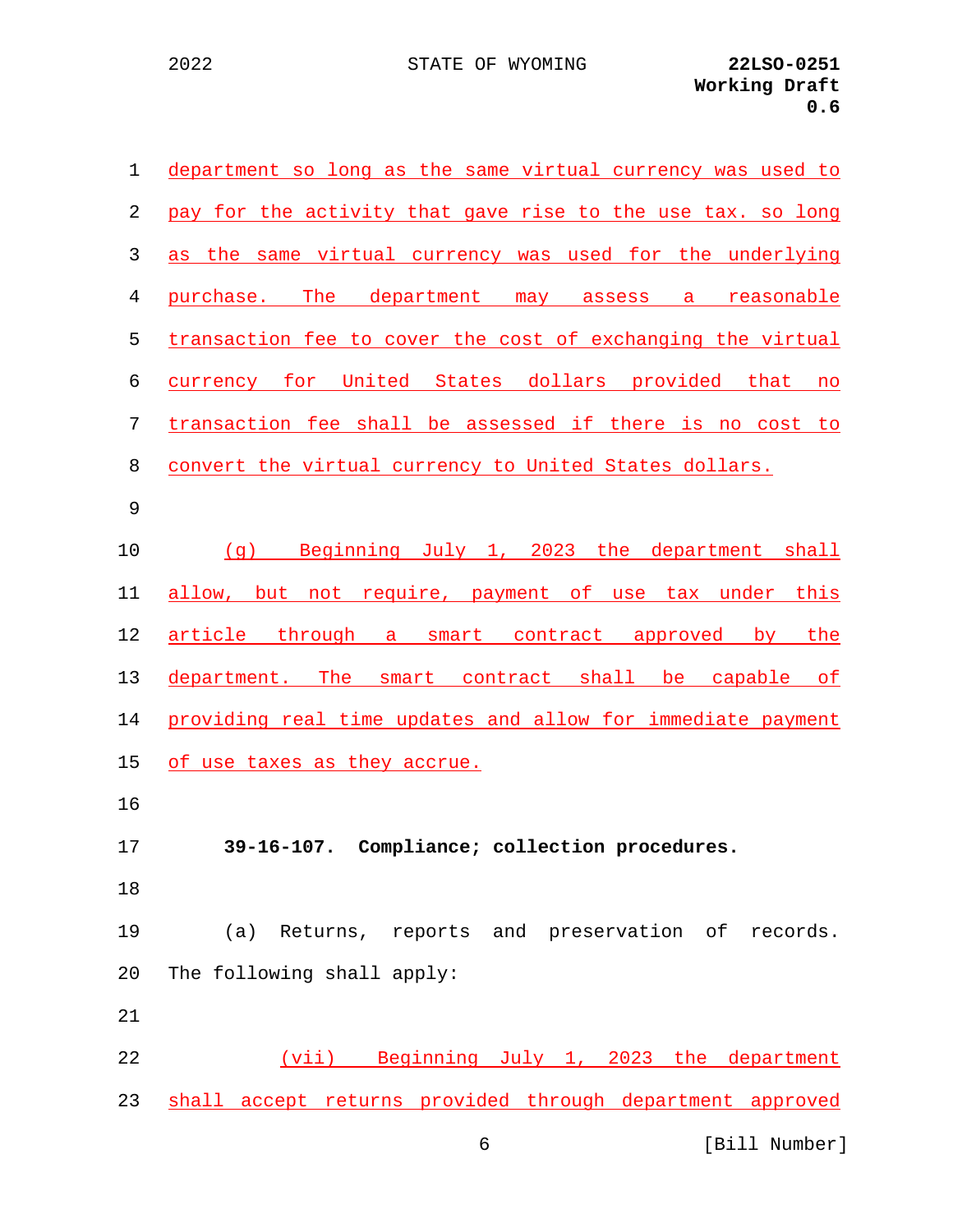| 1              | department so long as the same virtual currency was used to |
|----------------|-------------------------------------------------------------|
| 2              | pay for the activity that gave rise to the use tax. so long |
| 3              | as the same virtual currency was used for the underlying    |
| $\overline{4}$ | purchase. The department may assess a reasonable            |
| 5              | transaction fee to cover the cost of exchanging the virtual |
| 6              | currency for United States dollars provided that no         |
| 7              | transaction fee shall be assessed if there is no cost to    |
| 8              | convert the virtual currency to United States dollars.      |
| 9              |                                                             |
| 10             | (g) Beginning July 1, 2023 the department shall             |
| 11             | allow, but not require, payment of use tax under this       |
| 12             | article through a smart contract approved by the            |
| 13             | department. The smart contract shall be capable of          |
| 14             | providing real time updates and allow for immediate payment |
| 15             | of use taxes as they accrue.                                |
| 16             |                                                             |
| 17             | 39-16-107. Compliance; collection procedures.               |
| 18             |                                                             |
| 19             | Returns, reports and preservation of records.<br>(a)        |
| 20             | The following shall apply:                                  |
| 21             |                                                             |
| 22             | (vii) Beginning July 1, 2023 the department                 |
| 23             | shall accept returns provided through department approved   |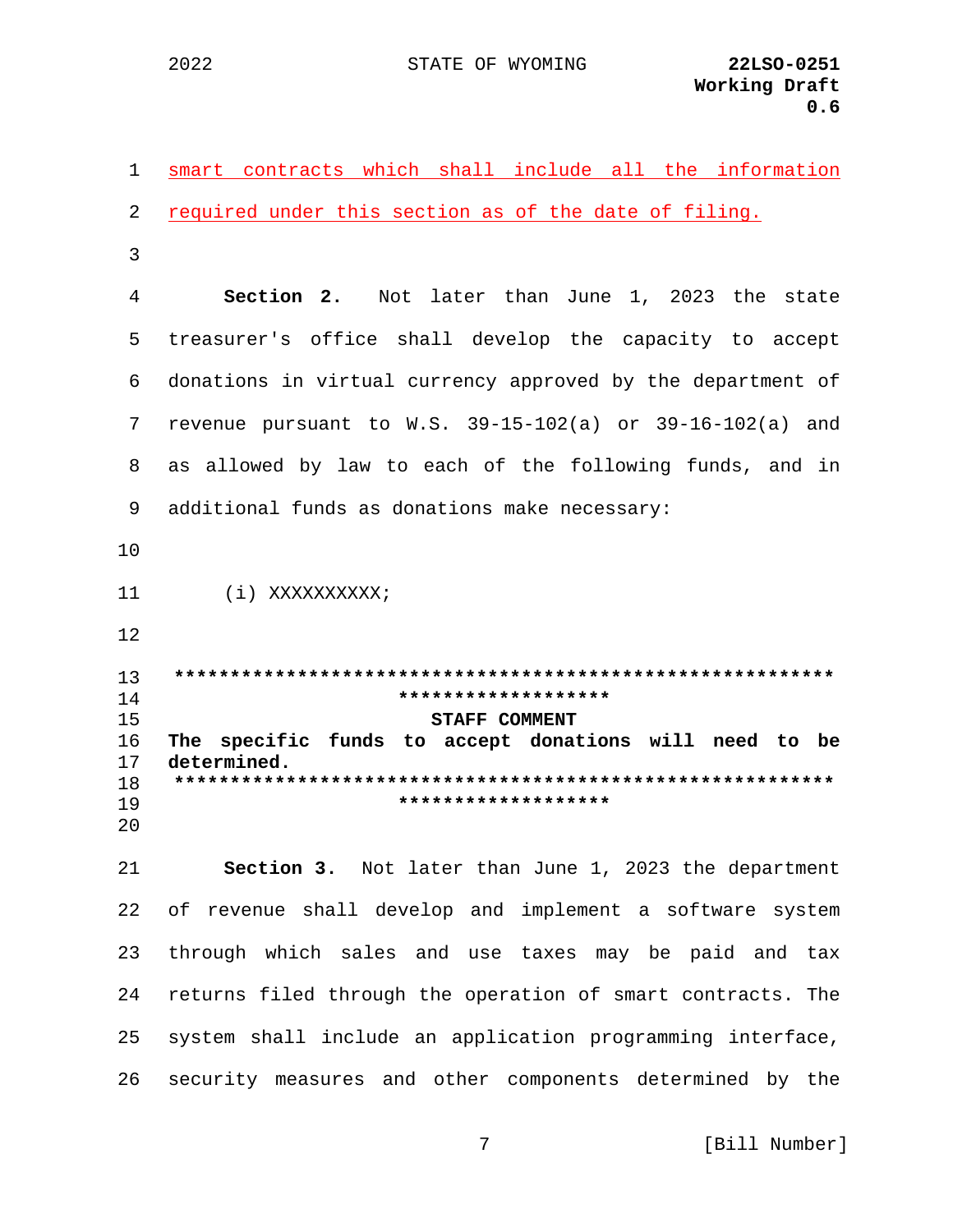2022

smart contracts which shall include all the information  $\mathbf{1}$ required under this section as of the date of filing. 2 3  $\overline{4}$ **Section 2.** Not later than June 1, 2023 the state treasurer's office shall develop the capacity to accept 5 donations in virtual currency approved by the department of 6 revenue pursuant to W.S. 39-15-102(a) or 39-16-102(a) and 7 8 as allowed by law to each of the following funds, and in 9 additional funds as donations make necessary:  $10$  $11$ (i) XXXXXXXXXX;  $12$  $13$ \*\*\*\*\*\*\*\*\*\*\*\*\*\*\*\*\*\*\*  $14$  $15$ **STAFF COMMENT**  $16$ The specific funds to accept donations will need to be determined.  $17$ 18 \*\*\*\*\*\*\*\*\*\*\*\*\*\*\*\*\*\*\* 19  $2.0$ Section 3. Not later than June 1, 2023 the department  $21$ 22 of revenue shall develop and implement a software system 23 through which sales and use taxes may be paid and tax returns filed through the operation of smart contracts. The 24 25 system shall include an application programming interface, security measures and other components determined by the 26

7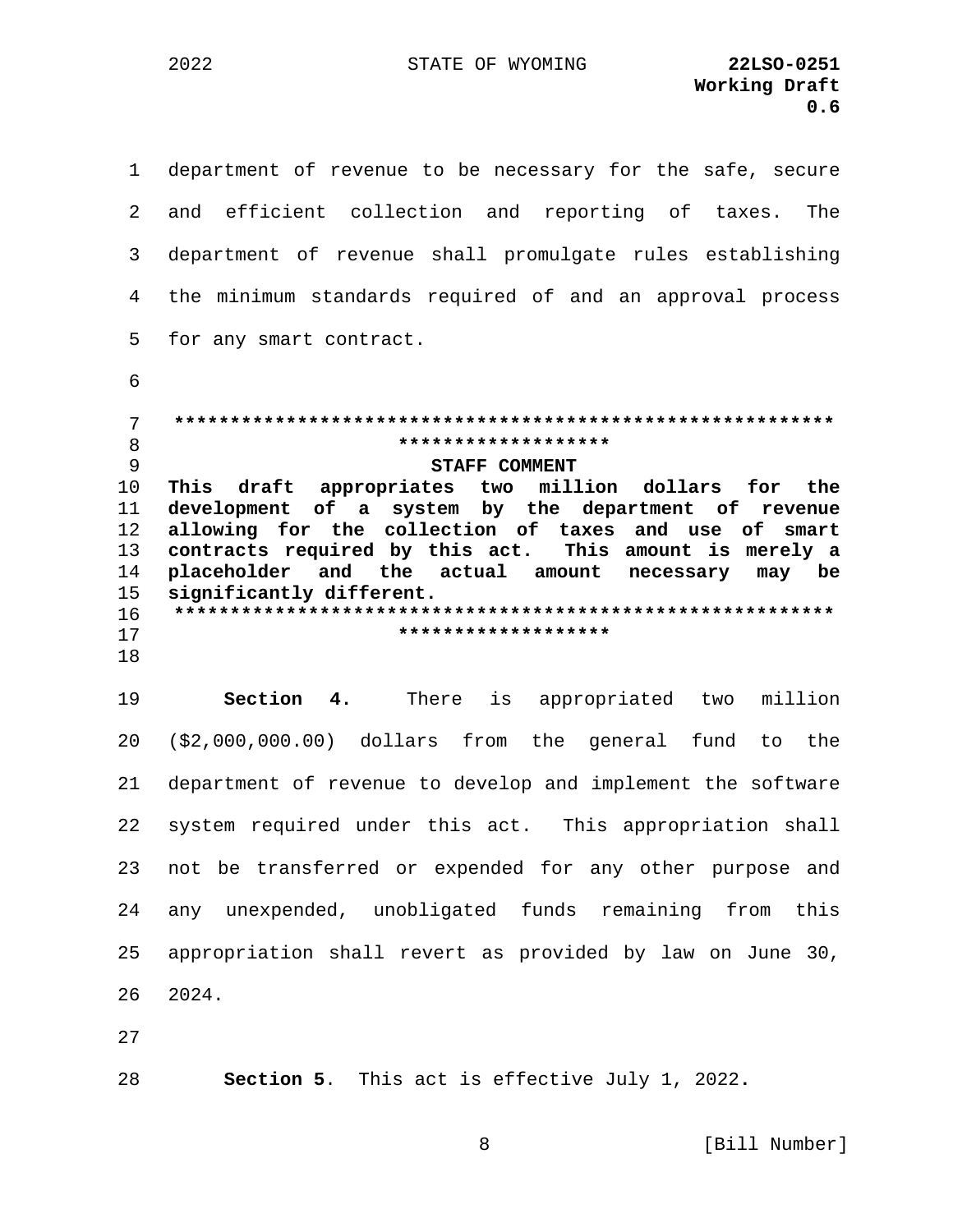department of revenue to be necessary for the safe, secure  $\mathbf{1}$  $\overline{2}$ and efficient collection and reporting of taxes. The department of revenue shall promulgate rules establishing 3  $\overline{4}$ the minimum standards required of and an approval process 5 for any smart contract. 6 7 \*\*\*\*\*\*\*\*\*\*\*\*\*\*\*\*\*\*\* 8 9 **STAFF COMMENT** This draft appropriates two million dollars for the  $10$ development of a system by the department of revenue 11  $12$ allowing for the collection of taxes and use of smart contracts required by this act.  $13$ This amount is merely a 14 placeholder and the actual amount necessary may be  $15$ significantly different.  $16$ \*\*\*\*\*\*\*\*\*\*\*\*\*\*\*\*\*\*\*  $17$ 18 19 Section 4. There is appropriated two million 20  $(32,000,000.00)$  dollars from the general fund to the department of revenue to develop and implement the software 21 system required under this act. This appropriation shall 22 not be transferred or expended for any other purpose and 23 24 any unexpended, unobligated funds remaining from this 25 appropriation shall revert as provided by law on June 30, 26 2024.

27

28

Section 5. This act is effective July 1, 2022.